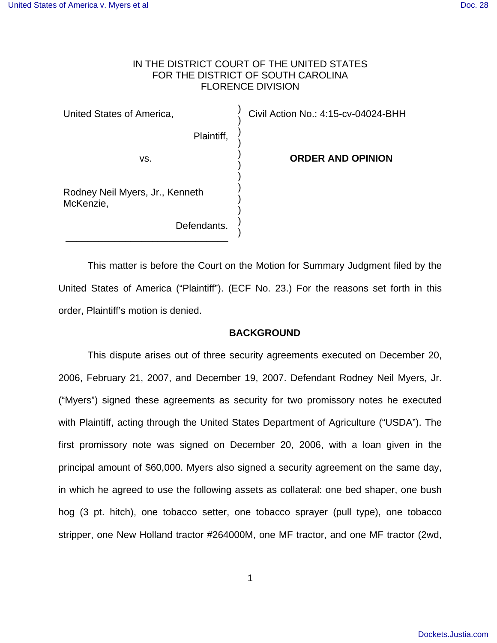## IN THE DISTRICT COURT OF THE UNITED STATES FOR THE DISTRICT OF SOUTH CAROLINA FLORENCE DIVISION

) ) ) ) ) ) ) ) ) ) ) )

United States of America,

Plaintiff,

vs.

\_\_\_\_\_\_\_\_\_\_\_\_\_\_\_\_\_\_\_\_\_\_\_\_\_\_\_\_\_\_

**ORDER AND OPINION**

Civil Action No.: 4:15-cv-04024-BHH

Rodney Neil Myers, Jr., Kenneth McKenzie,

Defendants.

This matter is before the Court on the Motion for Summary Judgment filed by the United States of America ("Plaintiff"). (ECF No. 23.) For the reasons set forth in this order, Plaintiff's motion is denied.

## **BACKGROUND**

This dispute arises out of three security agreements executed on December 20, 2006, February 21, 2007, and December 19, 2007. Defendant Rodney Neil Myers, Jr. ("Myers") signed these agreements as security for two promissory notes he executed with Plaintiff, acting through the United States Department of Agriculture ("USDA"). The first promissory note was signed on December 20, 2006, with a loan given in the principal amount of \$60,000. Myers also signed a security agreement on the same day, in which he agreed to use the following assets as collateral: one bed shaper, one bush hog (3 pt. hitch), one tobacco setter, one tobacco sprayer (pull type), one tobacco stripper, one New Holland tractor #264000M, one MF tractor, and one MF tractor (2wd,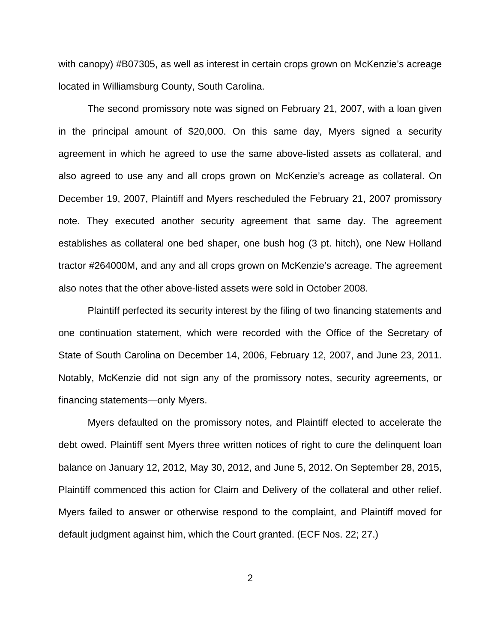with canopy) #B07305, as well as interest in certain crops grown on McKenzie's acreage located in Williamsburg County, South Carolina.

The second promissory note was signed on February 21, 2007, with a loan given in the principal amount of \$20,000. On this same day, Myers signed a security agreement in which he agreed to use the same above-listed assets as collateral, and also agreed to use any and all crops grown on McKenzie's acreage as collateral. On December 19, 2007, Plaintiff and Myers rescheduled the February 21, 2007 promissory note. They executed another security agreement that same day. The agreement establishes as collateral one bed shaper, one bush hog (3 pt. hitch), one New Holland tractor #264000M, and any and all crops grown on McKenzie's acreage. The agreement also notes that the other above-listed assets were sold in October 2008.

Plaintiff perfected its security interest by the filing of two financing statements and one continuation statement, which were recorded with the Office of the Secretary of State of South Carolina on December 14, 2006, February 12, 2007, and June 23, 2011. Notably, McKenzie did not sign any of the promissory notes, security agreements, or financing statements—only Myers.

Myers defaulted on the promissory notes, and Plaintiff elected to accelerate the debt owed. Plaintiff sent Myers three written notices of right to cure the delinquent loan balance on January 12, 2012, May 30, 2012, and June 5, 2012. On September 28, 2015, Plaintiff commenced this action for Claim and Delivery of the collateral and other relief. Myers failed to answer or otherwise respond to the complaint, and Plaintiff moved for default judgment against him, which the Court granted. (ECF Nos. 22; 27.)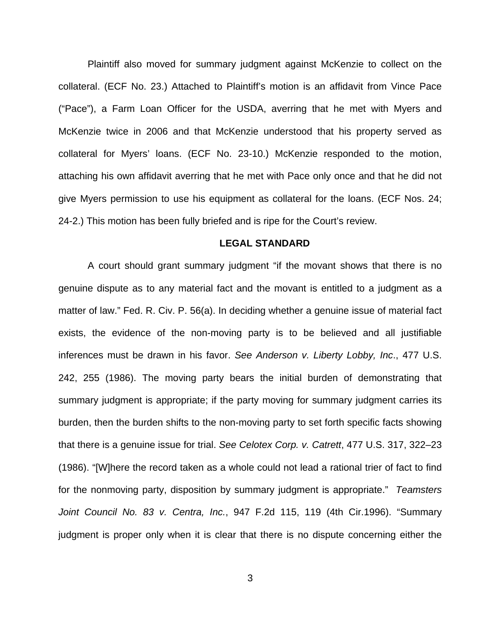Plaintiff also moved for summary judgment against McKenzie to collect on the collateral. (ECF No. 23.) Attached to Plaintiff's motion is an affidavit from Vince Pace ("Pace"), a Farm Loan Officer for the USDA, averring that he met with Myers and McKenzie twice in 2006 and that McKenzie understood that his property served as collateral for Myers' loans. (ECF No. 23-10.) McKenzie responded to the motion, attaching his own affidavit averring that he met with Pace only once and that he did not give Myers permission to use his equipment as collateral for the loans. (ECF Nos. 24; 24-2.) This motion has been fully briefed and is ripe for the Court's review.

### **LEGAL STANDARD**

A court should grant summary judgment "if the movant shows that there is no genuine dispute as to any material fact and the movant is entitled to a judgment as a matter of law." Fed. R. Civ. P. 56(a). In deciding whether a genuine issue of material fact exists, the evidence of the non-moving party is to be believed and all justifiable inferences must be drawn in his favor. See Anderson v. Liberty Lobby, Inc., 477 U.S. 242, 255 (1986). The moving party bears the initial burden of demonstrating that summary judgment is appropriate; if the party moving for summary judgment carries its burden, then the burden shifts to the non-moving party to set forth specific facts showing that there is a genuine issue for trial. See Celotex Corp. v. Catrett, 477 U.S. 317, 322–23 (1986). "[W]here the record taken as a whole could not lead a rational trier of fact to find for the nonmoving party, disposition by summary judgment is appropriate." Teamsters Joint Council No. 83 v. Centra, Inc., 947 F.2d 115, 119 (4th Cir.1996). "Summary judgment is proper only when it is clear that there is no dispute concerning either the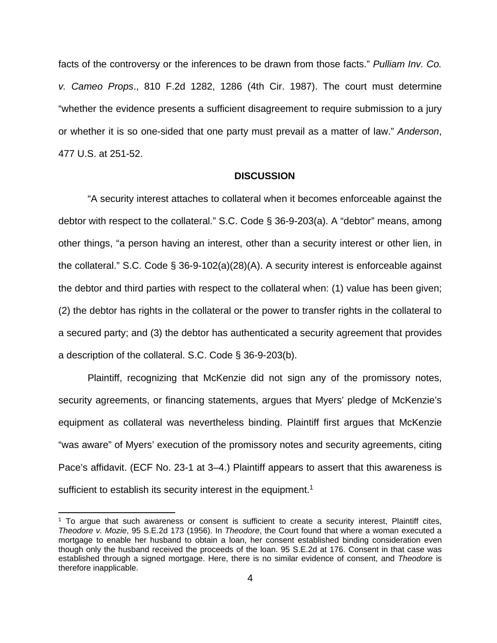facts of the controversy or the inferences to be drawn from those facts." Pulliam Inv. Co. v. Cameo Props., 810 F.2d 1282, 1286 (4th Cir. 1987). The court must determine "whether the evidence presents a sufficient disagreement to require submission to a jury or whether it is so one-sided that one party must prevail as a matter of law." Anderson, 477 U.S. at 251-52.

#### **DISCUSSION**

"A security interest attaches to collateral when it becomes enforceable against the debtor with respect to the collateral." S.C. Code § 36-9-203(a). A "debtor" means, among other things, "a person having an interest, other than a security interest or other lien, in the collateral." S.C. Code § 36-9-102(a)(28)(A). A security interest is enforceable against the debtor and third parties with respect to the collateral when: (1) value has been given; (2) the debtor has rights in the collateral or the power to transfer rights in the collateral to a secured party; and (3) the debtor has authenticated a security agreement that provides a description of the collateral. S.C. Code § 36-9-203(b).

Plaintiff, recognizing that McKenzie did not sign any of the promissory notes, security agreements, or financing statements, argues that Myers' pledge of McKenzie's equipment as collateral was nevertheless binding. Plaintiff first argues that McKenzie "was aware" of Myers' execution of the promissory notes and security agreements, citing Pace's affidavit. (ECF No. 23-1 at 3–4.) Plaintiff appears to assert that this awareness is sufficient to establish its security interest in the equipment.<sup>1</sup>

<sup>&</sup>lt;sup>1</sup> To argue that such awareness or consent is sufficient to create a security interest, Plaintiff cites, Theodore v. Mozie, 95 S.E.2d 173 (1956). In Theodore, the Court found that where a woman executed a mortgage to enable her husband to obtain a loan, her consent established binding consideration even though only the husband received the proceeds of the loan. 95 S.E.2d at 176. Consent in that case was established through a signed mortgage. Here, there is no similar evidence of consent, and Theodore is therefore inapplicable.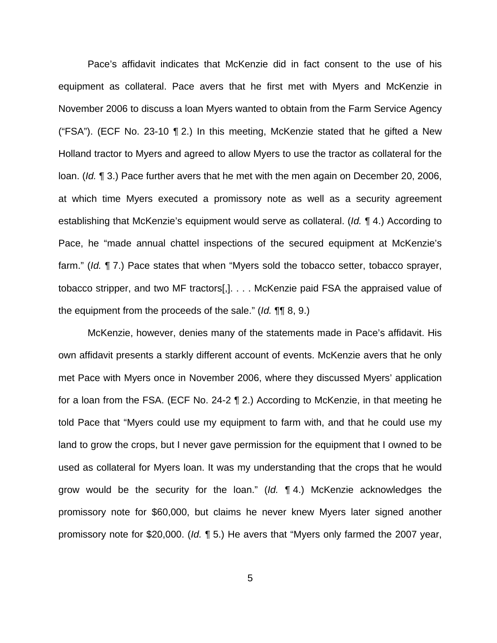Pace's affidavit indicates that McKenzie did in fact consent to the use of his equipment as collateral. Pace avers that he first met with Myers and McKenzie in November 2006 to discuss a loan Myers wanted to obtain from the Farm Service Agency ("FSA"). (ECF No. 23-10 ¶ 2.) In this meeting, McKenzie stated that he gifted a New Holland tractor to Myers and agreed to allow Myers to use the tractor as collateral for the loan. (Id. ¶ 3.) Pace further avers that he met with the men again on December 20, 2006, at which time Myers executed a promissory note as well as a security agreement establishing that McKenzie's equipment would serve as collateral. (Id. 14.) According to Pace, he "made annual chattel inspections of the secured equipment at McKenzie's farm." (Id. ¶ 7.) Pace states that when "Myers sold the tobacco setter, tobacco sprayer, tobacco stripper, and two MF tractors[,]. . . . McKenzie paid FSA the appraised value of the equipment from the proceeds of the sale." (Id. ¶¶ 8, 9.)

McKenzie, however, denies many of the statements made in Pace's affidavit. His own affidavit presents a starkly different account of events. McKenzie avers that he only met Pace with Myers once in November 2006, where they discussed Myers' application for a loan from the FSA. (ECF No. 24-2 ¶ 2.) According to McKenzie, in that meeting he told Pace that "Myers could use my equipment to farm with, and that he could use my land to grow the crops, but I never gave permission for the equipment that I owned to be used as collateral for Myers loan. It was my understanding that the crops that he would grow would be the security for the loan." (Id.  $\P$  4.) McKenzie acknowledges the promissory note for \$60,000, but claims he never knew Myers later signed another promissory note for \$20,000. (Id. ¶ 5.) He avers that "Myers only farmed the 2007 year,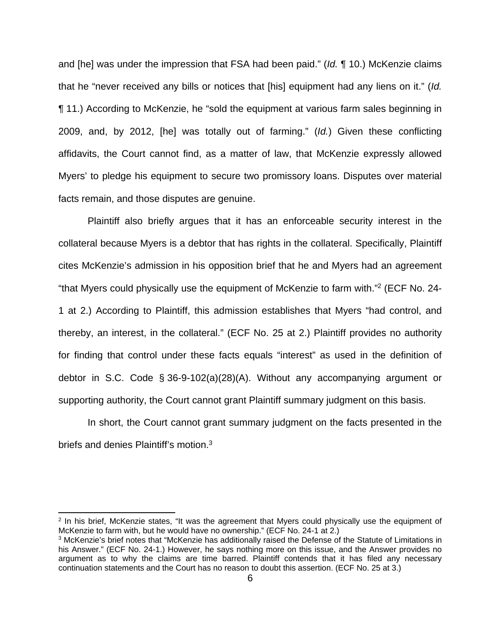and [he] was under the impression that FSA had been paid." (Id. ¶ 10.) McKenzie claims that he "never received any bills or notices that [his] equipment had any liens on it." (Id. ¶ 11.) According to McKenzie, he "sold the equipment at various farm sales beginning in 2009, and, by 2012, [he] was totally out of farming." (Id.) Given these conflicting affidavits, the Court cannot find, as a matter of law, that McKenzie expressly allowed Myers' to pledge his equipment to secure two promissory loans. Disputes over material facts remain, and those disputes are genuine.

Plaintiff also briefly argues that it has an enforceable security interest in the collateral because Myers is a debtor that has rights in the collateral. Specifically, Plaintiff cites McKenzie's admission in his opposition brief that he and Myers had an agreement "that Myers could physically use the equipment of McKenzie to farm with."<sup>2</sup> (ECF No. 24- 1 at 2.) According to Plaintiff, this admission establishes that Myers "had control, and thereby, an interest, in the collateral." (ECF No. 25 at 2.) Plaintiff provides no authority for finding that control under these facts equals "interest" as used in the definition of debtor in S.C. Code § 36-9-102(a)(28)(A). Without any accompanying argument or supporting authority, the Court cannot grant Plaintiff summary judgment on this basis.

In short, the Court cannot grant summary judgment on the facts presented in the briefs and denies Plaintiff's motion.<sup>3</sup>

<sup>&</sup>lt;sup>2</sup> In his brief, McKenzie states, "It was the agreement that Myers could physically use the equipment of McKenzie to farm with, but he would have no ownership." (ECF No. 24-1 at 2.)

<sup>&</sup>lt;sup>3</sup> McKenzie's brief notes that "McKenzie has additionally raised the Defense of the Statute of Limitations in his Answer." (ECF No. 24-1.) However, he says nothing more on this issue, and the Answer provides no argument as to why the claims are time barred. Plaintiff contends that it has filed any necessary continuation statements and the Court has no reason to doubt this assertion. (ECF No. 25 at 3.)